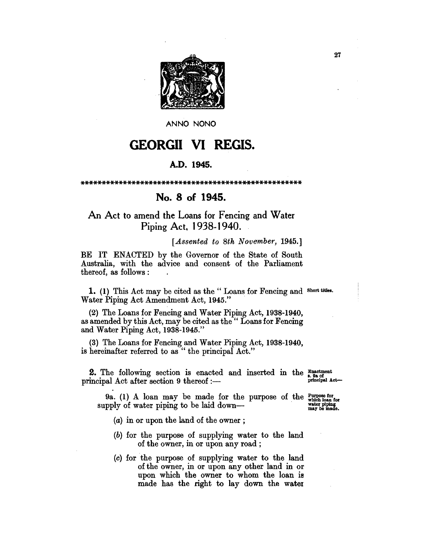

ANNO NONO

## **GEORGII VI REGIS.**

## A.D. 1945.

## No. 8 of 1945.

## An Act to amend the Loans for Fencing and Water Piping Act, 1938-1940.

[Assented to 8th November, 1945.]

BE IT ENACTED by the Governor of the State of South Australia, with the advice and consent of the Parliament thereof, as follows:

1. (1) This Act may be cited as the "Loans for Fencing and Short titles. Water Piping Act Amendment Act, 1945."

(2) The Loans for Fencing and Water Piping Act, 1938-1940, as amended by this Act, may be cited as the " Loans for Fencing and Water Piping Act, 1938-1945."

(3) The Loans for Fencing and Water Piping Act, 1938-1940, is hereinafter referred to as" the principal Act."

**2.** The following section is enacted and inserted in the  $\frac{Exact}{area}$ principal Act after section 9 thereof :-

principal Act-

9a. (1) A loan may be made for the purpose of the  $\frac{Purpose}{\text{which loan for}}$ supply of water piping to be laid down—

water piping<br>may be made.

(a) in or upon the land of the owner;

- (b) for the purpose of supplying water to the land of the owner, in or upon any road;
- (c) for the purpose of supplying water to the land of the owner, in or upon any other land in or upon which the owner to whom the loan is made has the right to lay down the water